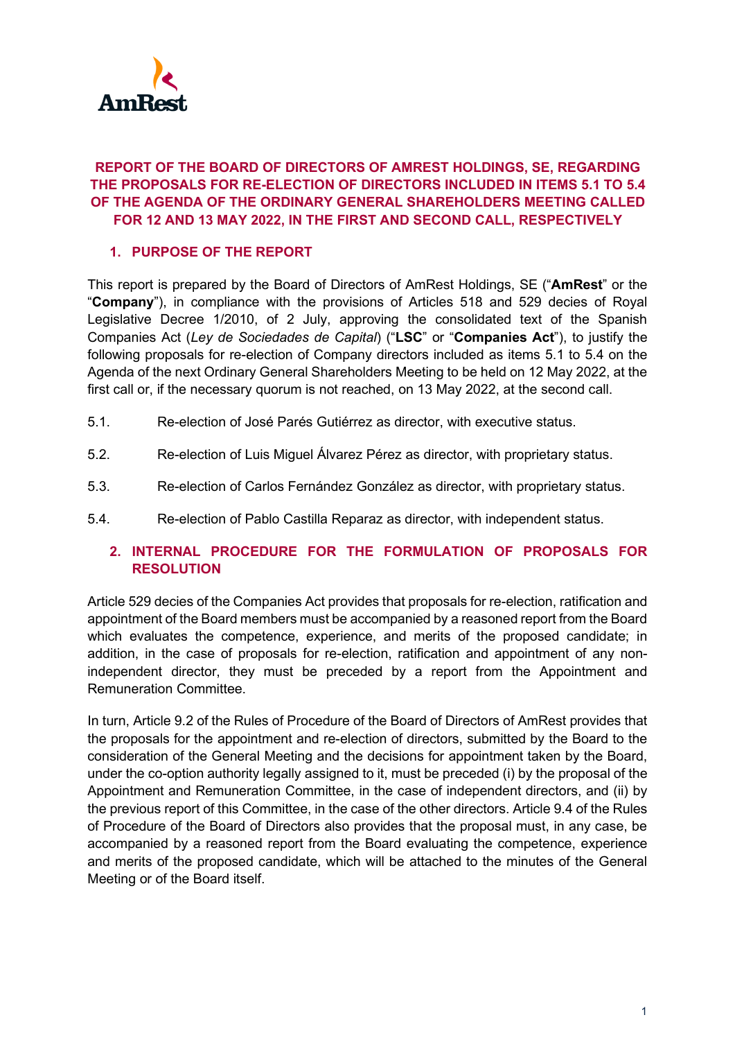

# **REPORT OF THE BOARD OF DIRECTORS OF AMREST HOLDINGS, SE, REGARDING THE PROPOSALS FOR RE-ELECTION OF DIRECTORS INCLUDED IN ITEMS 5.1 TO 5.4 OF THE AGENDA OF THE ORDINARY GENERAL SHAREHOLDERS MEETING CALLED FOR 12 AND 13 MAY 2022, IN THE FIRST AND SECOND CALL, RESPECTIVELY**

# **1. PURPOSE OF THE REPORT**

This report is prepared by the Board of Directors of AmRest Holdings, SE ("**AmRest**" or the "**Company**"), in compliance with the provisions of Articles 518 and 529 decies of Royal Legislative Decree 1/2010, of 2 July, approving the consolidated text of the Spanish Companies Act (*Ley de Sociedades de Capital*) ("**LSC**" or "**Companies Act**"), to justify the following proposals for re-election of Company directors included as items 5.1 to 5.4 on the Agenda of the next Ordinary General Shareholders Meeting to be held on 12 May 2022, at the first call or, if the necessary quorum is not reached, on 13 May 2022, at the second call.

- 5.1. Re-election of José Parés Gutiérrez as director, with executive status.
- 5.2. Re-election of Luis Miguel Álvarez Pérez as director, with proprietary status.
- 5.3. Re-election of Carlos Fernández González as director, with proprietary status.
- 5.4. Re-election of Pablo Castilla Reparaz as director, with independent status.

# **2. INTERNAL PROCEDURE FOR THE FORMULATION OF PROPOSALS FOR RESOLUTION**

Article 529 decies of the Companies Act provides that proposals for re-election, ratification and appointment of the Board members must be accompanied by a reasoned report from the Board which evaluates the competence, experience, and merits of the proposed candidate; in addition, in the case of proposals for re-election, ratification and appointment of any nonindependent director, they must be preceded by a report from the Appointment and Remuneration Committee.

In turn, Article 9.2 of the Rules of Procedure of the Board of Directors of AmRest provides that the proposals for the appointment and re-election of directors, submitted by the Board to the consideration of the General Meeting and the decisions for appointment taken by the Board, under the co-option authority legally assigned to it, must be preceded (i) by the proposal of the Appointment and Remuneration Committee, in the case of independent directors, and (ii) by the previous report of this Committee, in the case of the other directors. Article 9.4 of the Rules of Procedure of the Board of Directors also provides that the proposal must, in any case, be accompanied by a reasoned report from the Board evaluating the competence, experience and merits of the proposed candidate, which will be attached to the minutes of the General Meeting or of the Board itself.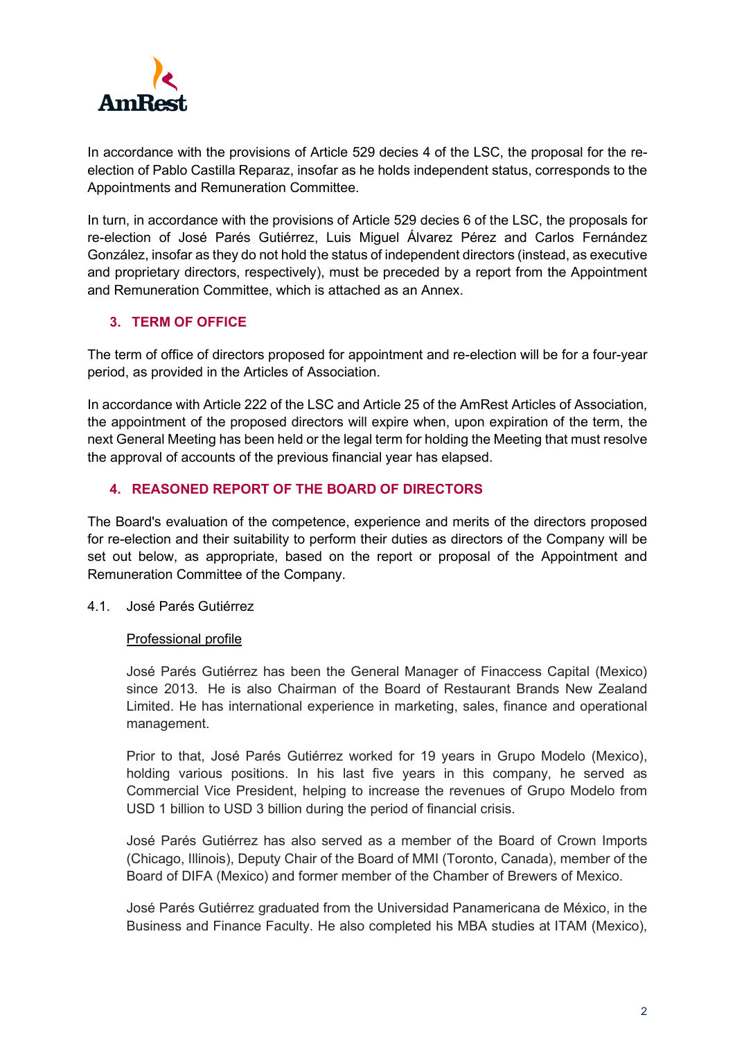

In accordance with the provisions of Article 529 decies 4 of the LSC, the proposal for the reelection of Pablo Castilla Reparaz, insofar as he holds independent status, corresponds to the Appointments and Remuneration Committee.

In turn, in accordance with the provisions of Article 529 decies 6 of the LSC, the proposals for re-election of José Parés Gutiérrez, Luis Miguel Álvarez Pérez and Carlos Fernández González, insofar as they do not hold the status of independent directors (instead, as executive and proprietary directors, respectively), must be preceded by a report from the Appointment and Remuneration Committee, which is attached as an Annex.

# **3. TERM OF OFFICE**

The term of office of directors proposed for appointment and re-election will be for a four-year period, as provided in the Articles of Association.

In accordance with Article 222 of the LSC and Article 25 of the AmRest Articles of Association, the appointment of the proposed directors will expire when, upon expiration of the term, the next General Meeting has been held or the legal term for holding the Meeting that must resolve the approval of accounts of the previous financial year has elapsed.

# **4. REASONED REPORT OF THE BOARD OF DIRECTORS**

The Board's evaluation of the competence, experience and merits of the directors proposed for re-election and their suitability to perform their duties as directors of the Company will be set out below, as appropriate, based on the report or proposal of the Appointment and Remuneration Committee of the Company.

4.1. José Parés Gutiérrez

## Professional profile

José Parés Gutiérrez has been the General Manager of Finaccess Capital (Mexico) since 2013. He is also Chairman of the Board of Restaurant Brands New Zealand Limited. He has international experience in marketing, sales, finance and operational management.

Prior to that, José Parés Gutiérrez worked for 19 years in Grupo Modelo (Mexico), holding various positions. In his last five years in this company, he served as Commercial Vice President, helping to increase the revenues of Grupo Modelo from USD 1 billion to USD 3 billion during the period of financial crisis.

José Parés Gutiérrez has also served as a member of the Board of Crown Imports (Chicago, Illinois), Deputy Chair of the Board of MMI (Toronto, Canada), member of the Board of DIFA (Mexico) and former member of the Chamber of Brewers of Mexico.

José Parés Gutiérrez graduated from the Universidad Panamericana de México, in the Business and Finance Faculty. He also completed his MBA studies at ITAM (Mexico),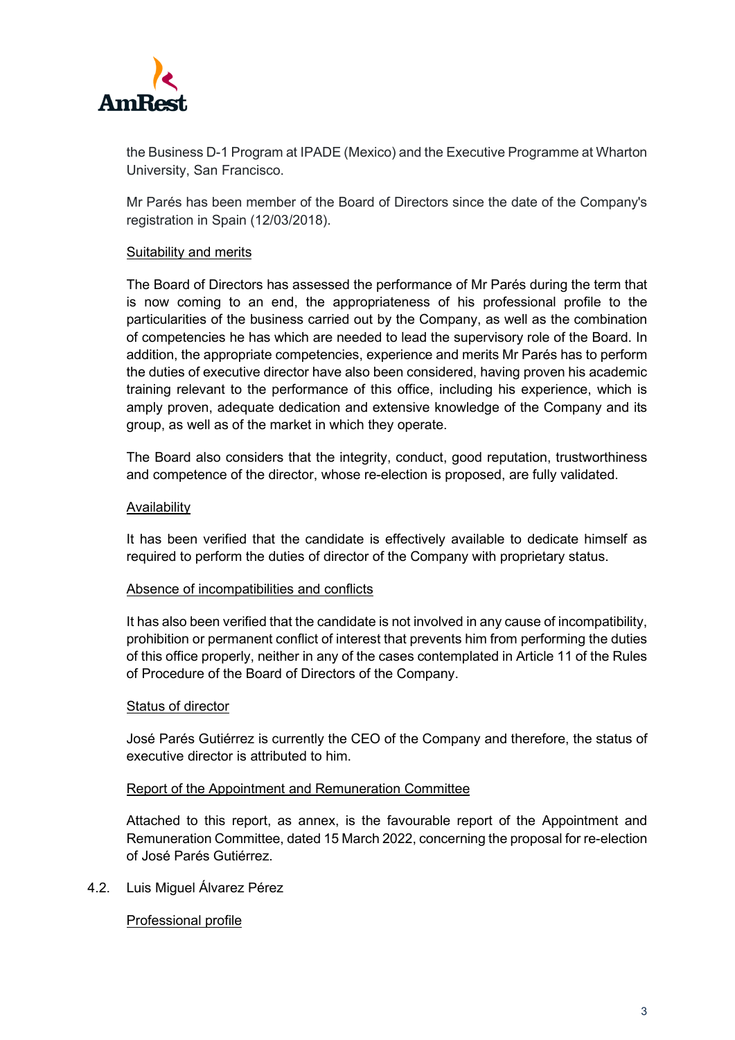

the Business D-1 Program at IPADE (Mexico) and the Executive Programme at Wharton University, San Francisco.

Mr Parés has been member of the Board of Directors since the date of the Company's registration in Spain (12/03/2018).

### Suitability and merits

The Board of Directors has assessed the performance of Mr Parés during the term that is now coming to an end, the appropriateness of his professional profile to the particularities of the business carried out by the Company, as well as the combination of competencies he has which are needed to lead the supervisory role of the Board. In addition, the appropriate competencies, experience and merits Mr Parés has to perform the duties of executive director have also been considered, having proven his academic training relevant to the performance of this office, including his experience, which is amply proven, adequate dedication and extensive knowledge of the Company and its group, as well as of the market in which they operate.

The Board also considers that the integrity, conduct, good reputation, trustworthiness and competence of the director, whose re-election is proposed, are fully validated.

### Availability

It has been verified that the candidate is effectively available to dedicate himself as required to perform the duties of director of the Company with proprietary status.

### Absence of incompatibilities and conflicts

It has also been verified that the candidate is not involved in any cause of incompatibility, prohibition or permanent conflict of interest that prevents him from performing the duties of this office properly, neither in any of the cases contemplated in Article 11 of the Rules of Procedure of the Board of Directors of the Company.

### Status of director

José Parés Gutiérrez is currently the CEO of the Company and therefore, the status of executive director is attributed to him.

### Report of the Appointment and Remuneration Committee

Attached to this report, as annex, is the favourable report of the Appointment and Remuneration Committee, dated 15 March 2022, concerning the proposal for re-election of José Parés Gutiérrez.

4.2. Luis Miguel Álvarez Pérez

## Professional profile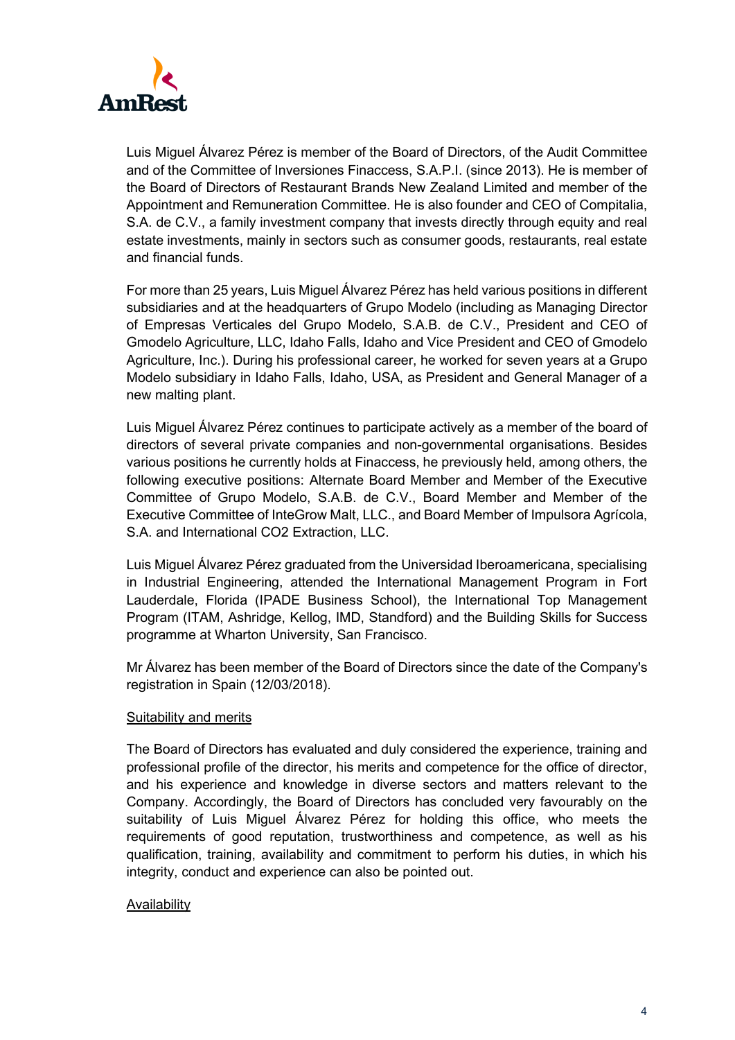

Luis Miguel Álvarez Pérez is member of the Board of Directors, of the Audit Committee and of the Committee of Inversiones Finaccess, S.A.P.I. (since 2013). He is member of the Board of Directors of Restaurant Brands New Zealand Limited and member of the Appointment and Remuneration Committee. He is also founder and CEO of Compitalia, S.A. de C.V., a family investment company that invests directly through equity and real estate investments, mainly in sectors such as consumer goods, restaurants, real estate and financial funds.

For more than 25 years, Luis Miguel Álvarez Pérez has held various positions in different subsidiaries and at the headquarters of Grupo Modelo (including as Managing Director of Empresas Verticales del Grupo Modelo, S.A.B. de C.V., President and CEO of Gmodelo Agriculture, LLC, Idaho Falls, Idaho and Vice President and CEO of Gmodelo Agriculture, Inc.). During his professional career, he worked for seven years at a Grupo Modelo subsidiary in Idaho Falls, Idaho, USA, as President and General Manager of a new malting plant.

Luis Miguel Álvarez Pérez continues to participate actively as a member of the board of directors of several private companies and non-governmental organisations. Besides various positions he currently holds at Finaccess, he previously held, among others, the following executive positions: Alternate Board Member and Member of the Executive Committee of Grupo Modelo, S.A.B. de C.V., Board Member and Member of the Executive Committee of InteGrow Malt, LLC., and Board Member of Impulsora Agrícola, S.A. and International CO2 Extraction, LLC.

Luis Miguel Álvarez Pérez graduated from the Universidad Iberoamericana, specialising in Industrial Engineering, attended the International Management Program in Fort Lauderdale, Florida (IPADE Business School), the International Top Management Program (ITAM, Ashridge, Kellog, IMD, Standford) and the Building Skills for Success programme at Wharton University, San Francisco.

Mr Álvarez has been member of the Board of Directors since the date of the Company's registration in Spain (12/03/2018).

### Suitability and merits

The Board of Directors has evaluated and duly considered the experience, training and professional profile of the director, his merits and competence for the office of director, and his experience and knowledge in diverse sectors and matters relevant to the Company. Accordingly, the Board of Directors has concluded very favourably on the suitability of Luis Miguel Álvarez Pérez for holding this office, who meets the requirements of good reputation, trustworthiness and competence, as well as his qualification, training, availability and commitment to perform his duties, in which his integrity, conduct and experience can also be pointed out.

### Availability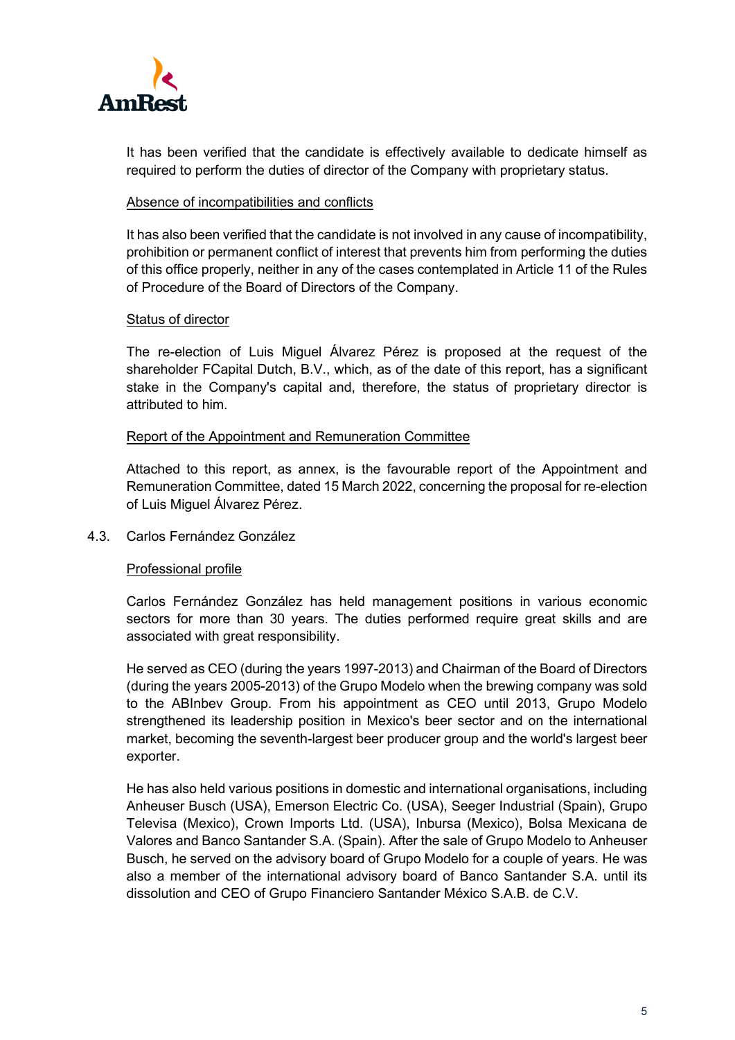

It has been verified that the candidate is effectively available to dedicate himself as required to perform the duties of director of the Company with proprietary status.

### Absence of incompatibilities and conflicts

It has also been verified that the candidate is not involved in any cause of incompatibility, prohibition or permanent conflict of interest that prevents him from performing the duties of this office properly, neither in any of the cases contemplated in Article 11 of the Rules of Procedure of the Board of Directors of the Company.

## Status of director

The re-election of Luis Miguel Álvarez Pérez is proposed at the request of the shareholder FCapital Dutch, B.V., which, as of the date of this report, has a significant stake in the Company's capital and, therefore, the status of proprietary director is attributed to him.

### Report of the Appointment and Remuneration Committee

Attached to this report, as annex, is the favourable report of the Appointment and Remuneration Committee, dated 15 March 2022, concerning the proposal for re-election of Luis Miguel Álvarez Pérez.

4.3. Carlos Fernández González

## Professional profile

Carlos Fernández González has held management positions in various economic sectors for more than 30 years. The duties performed require great skills and are associated with great responsibility.

He served as CEO (during the years 1997-2013) and Chairman of the Board of Directors (during the years 2005-2013) of the Grupo Modelo when the brewing company was sold to the ABInbev Group. From his appointment as CEO until 2013, Grupo Modelo strengthened its leadership position in Mexico's beer sector and on the international market, becoming the seventh-largest beer producer group and the world's largest beer exporter.

He has also held various positions in domestic and international organisations, including Anheuser Busch (USA), Emerson Electric Co. (USA), Seeger Industrial (Spain), Grupo Televisa (Mexico), Crown Imports Ltd. (USA), Inbursa (Mexico), Bolsa Mexicana de Valores and Banco Santander S.A. (Spain). After the sale of Grupo Modelo to Anheuser Busch, he served on the advisory board of Grupo Modelo for a couple of years. He was also a member of the international advisory board of Banco Santander S.A. until its dissolution and CEO of Grupo Financiero Santander México S.A.B. de C.V.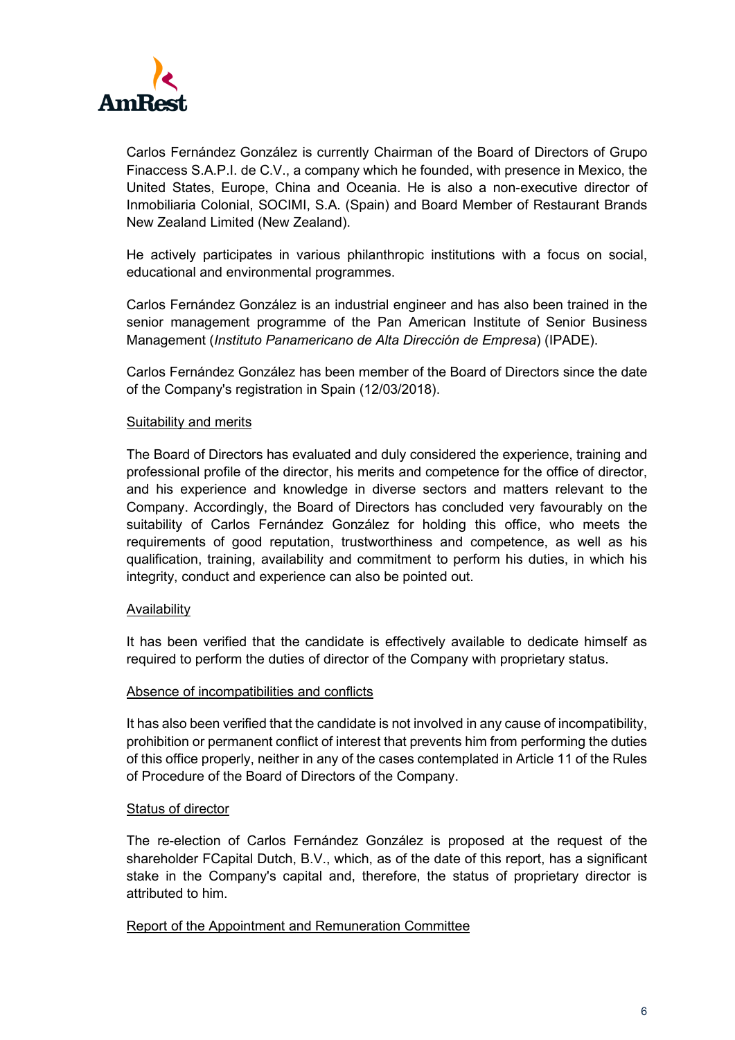

Carlos Fernández González is currently Chairman of the Board of Directors of Grupo Finaccess S.A.P.I. de C.V., a company which he founded, with presence in Mexico, the United States, Europe, China and Oceania. He is also a non-executive director of Inmobiliaria Colonial, SOCIMI, S.A. (Spain) and Board Member of Restaurant Brands New Zealand Limited (New Zealand).

He actively participates in various philanthropic institutions with a focus on social, educational and environmental programmes.

Carlos Fernández González is an industrial engineer and has also been trained in the senior management programme of the Pan American Institute of Senior Business Management (*Instituto Panamericano de Alta Dirección de Empresa*) (IPADE).

Carlos Fernández González has been member of the Board of Directors since the date of the Company's registration in Spain (12/03/2018).

### Suitability and merits

The Board of Directors has evaluated and duly considered the experience, training and professional profile of the director, his merits and competence for the office of director, and his experience and knowledge in diverse sectors and matters relevant to the Company. Accordingly, the Board of Directors has concluded very favourably on the suitability of Carlos Fernández González for holding this office, who meets the requirements of good reputation, trustworthiness and competence, as well as his qualification, training, availability and commitment to perform his duties, in which his integrity, conduct and experience can also be pointed out.

### Availability

It has been verified that the candidate is effectively available to dedicate himself as required to perform the duties of director of the Company with proprietary status.

### Absence of incompatibilities and conflicts

It has also been verified that the candidate is not involved in any cause of incompatibility, prohibition or permanent conflict of interest that prevents him from performing the duties of this office properly, neither in any of the cases contemplated in Article 11 of the Rules of Procedure of the Board of Directors of the Company.

### Status of director

The re-election of Carlos Fernández González is proposed at the request of the shareholder FCapital Dutch, B.V., which, as of the date of this report, has a significant stake in the Company's capital and, therefore, the status of proprietary director is attributed to him.

## Report of the Appointment and Remuneration Committee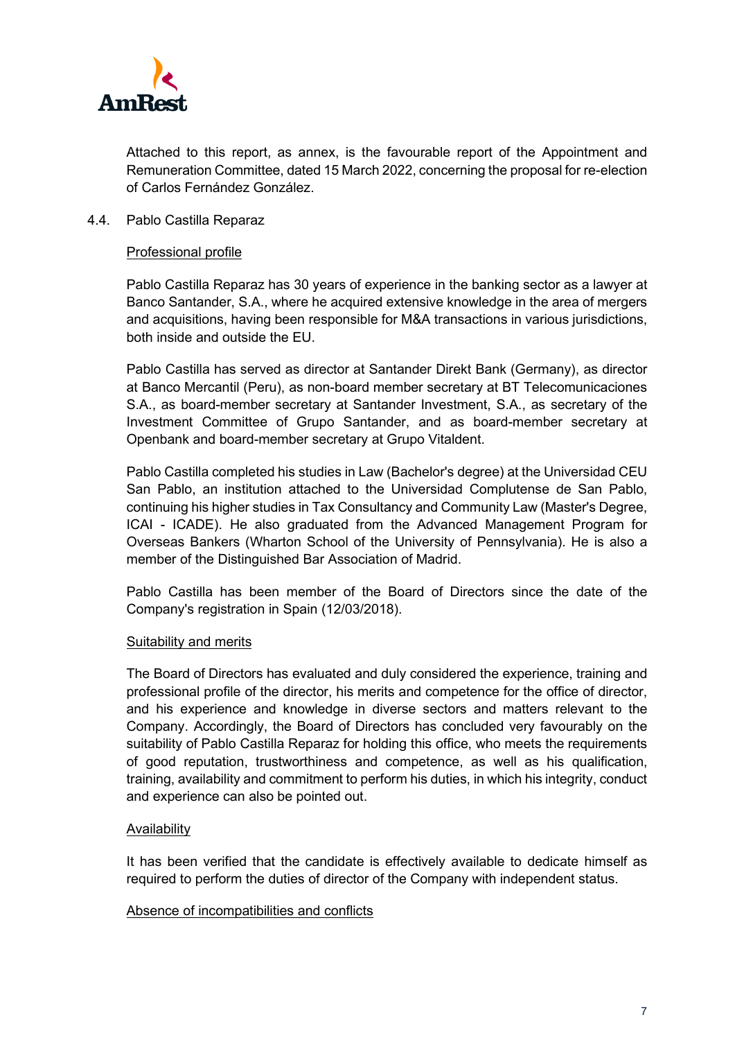

Attached to this report, as annex, is the favourable report of the Appointment and Remuneration Committee, dated 15 March 2022, concerning the proposal for re-election of Carlos Fernández González.

### 4.4. Pablo Castilla Reparaz

### Professional profile

Pablo Castilla Reparaz has 30 years of experience in the banking sector as a lawyer at Banco Santander, S.A., where he acquired extensive knowledge in the area of mergers and acquisitions, having been responsible for M&A transactions in various jurisdictions, both inside and outside the EU.

Pablo Castilla has served as director at Santander Direkt Bank (Germany), as director at Banco Mercantil (Peru), as non-board member secretary at BT Telecomunicaciones S.A., as board-member secretary at Santander Investment, S.A., as secretary of the Investment Committee of Grupo Santander, and as board-member secretary at Openbank and board-member secretary at Grupo Vitaldent.

Pablo Castilla completed his studies in Law (Bachelor's degree) at the Universidad CEU San Pablo, an institution attached to the Universidad Complutense de San Pablo, continuing his higher studies in Tax Consultancy and Community Law (Master's Degree, ICAI - ICADE). He also graduated from the Advanced Management Program for Overseas Bankers (Wharton School of the University of Pennsylvania). He is also a member of the Distinguished Bar Association of Madrid.

Pablo Castilla has been member of the Board of Directors since the date of the Company's registration in Spain (12/03/2018).

### Suitability and merits

The Board of Directors has evaluated and duly considered the experience, training and professional profile of the director, his merits and competence for the office of director, and his experience and knowledge in diverse sectors and matters relevant to the Company. Accordingly, the Board of Directors has concluded very favourably on the suitability of Pablo Castilla Reparaz for holding this office, who meets the requirements of good reputation, trustworthiness and competence, as well as his qualification, training, availability and commitment to perform his duties, in which his integrity, conduct and experience can also be pointed out.

### Availability

It has been verified that the candidate is effectively available to dedicate himself as required to perform the duties of director of the Company with independent status.

### Absence of incompatibilities and conflicts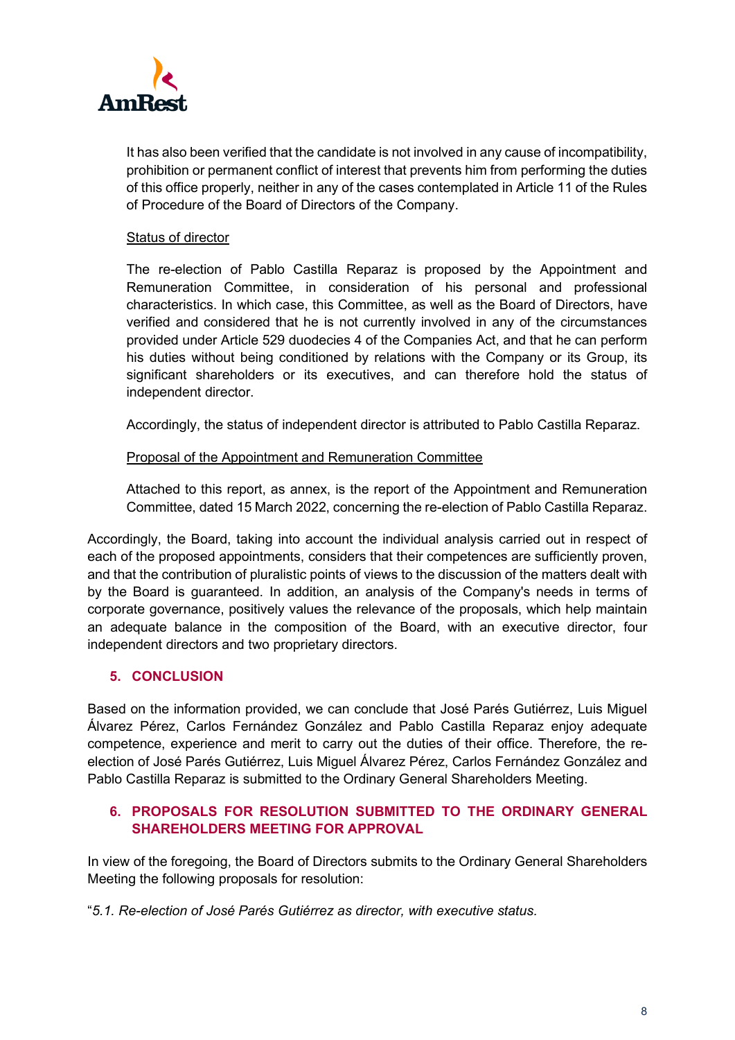

It has also been verified that the candidate is not involved in any cause of incompatibility, prohibition or permanent conflict of interest that prevents him from performing the duties of this office properly, neither in any of the cases contemplated in Article 11 of the Rules of Procedure of the Board of Directors of the Company.

# Status of director

The re-election of Pablo Castilla Reparaz is proposed by the Appointment and Remuneration Committee, in consideration of his personal and professional characteristics. In which case, this Committee, as well as the Board of Directors, have verified and considered that he is not currently involved in any of the circumstances provided under Article 529 duodecies 4 of the Companies Act, and that he can perform his duties without being conditioned by relations with the Company or its Group, its significant shareholders or its executives, and can therefore hold the status of independent director.

Accordingly, the status of independent director is attributed to Pablo Castilla Reparaz.

## Proposal of the Appointment and Remuneration Committee

Attached to this report, as annex, is the report of the Appointment and Remuneration Committee, dated 15 March 2022, concerning the re-election of Pablo Castilla Reparaz.

Accordingly, the Board, taking into account the individual analysis carried out in respect of each of the proposed appointments, considers that their competences are sufficiently proven, and that the contribution of pluralistic points of views to the discussion of the matters dealt with by the Board is guaranteed. In addition, an analysis of the Company's needs in terms of corporate governance, positively values the relevance of the proposals, which help maintain an adequate balance in the composition of the Board, with an executive director, four independent directors and two proprietary directors.

## **5. CONCLUSION**

Based on the information provided, we can conclude that José Parés Gutiérrez, Luis Miguel Álvarez Pérez, Carlos Fernández González and Pablo Castilla Reparaz enjoy adequate competence, experience and merit to carry out the duties of their office. Therefore, the reelection of José Parés Gutiérrez, Luis Miguel Álvarez Pérez, Carlos Fernández González and Pablo Castilla Reparaz is submitted to the Ordinary General Shareholders Meeting.

# **6. PROPOSALS FOR RESOLUTION SUBMITTED TO THE ORDINARY GENERAL SHAREHOLDERS MEETING FOR APPROVAL**

In view of the foregoing, the Board of Directors submits to the Ordinary General Shareholders Meeting the following proposals for resolution:

"*5.1. Re-election of José Parés Gutiérrez as director, with executive status.*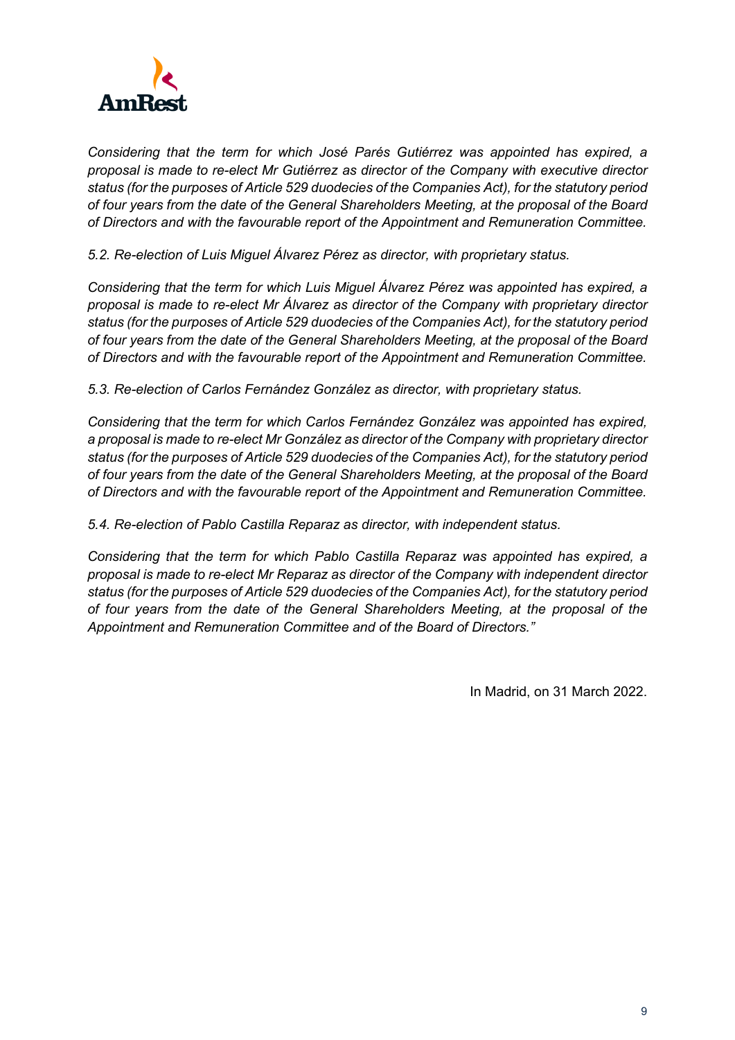

*Considering that the term for which José Parés Gutiérrez was appointed has expired, a proposal is made to re-elect Mr Gutiérrez as director of the Company with executive director status (for the purposes of Article 529 duodecies of the Companies Act), for the statutory period of four years from the date of the General Shareholders Meeting, at the proposal of the Board of Directors and with the favourable report of the Appointment and Remuneration Committee.* 

*5.2. Re-election of Luis Miguel Álvarez Pérez as director, with proprietary status.*

*Considering that the term for which Luis Miguel Álvarez Pérez was appointed has expired, a proposal is made to re-elect Mr Álvarez as director of the Company with proprietary director status (for the purposes of Article 529 duodecies of the Companies Act), for the statutory period of four years from the date of the General Shareholders Meeting, at the proposal of the Board of Directors and with the favourable report of the Appointment and Remuneration Committee.* 

*5.3. Re-election of Carlos Fernández González as director, with proprietary status.*

*Considering that the term for which Carlos Fernández González was appointed has expired, a proposal is made to re-elect Mr González as director of the Company with proprietary director status (for the purposes of Article 529 duodecies of the Companies Act), for the statutory period of four years from the date of the General Shareholders Meeting, at the proposal of the Board of Directors and with the favourable report of the Appointment and Remuneration Committee.* 

*5.4. Re-election of Pablo Castilla Reparaz as director, with independent status.*

*Considering that the term for which Pablo Castilla Reparaz was appointed has expired, a proposal is made to re-elect Mr Reparaz as director of the Company with independent director status (for the purposes of Article 529 duodecies of the Companies Act), for the statutory period of four years from the date of the General Shareholders Meeting, at the proposal of the Appointment and Remuneration Committee and of the Board of Directors."*

In Madrid, on 31 March 2022.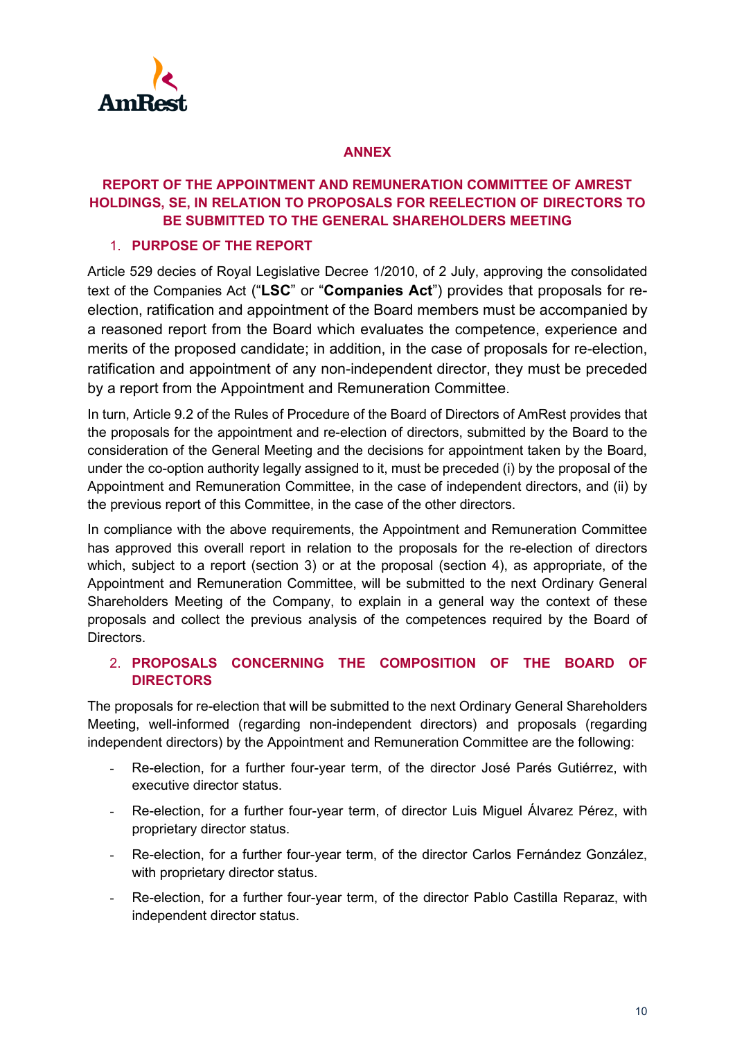

## **ANNEX**

# **REPORT OF THE APPOINTMENT AND REMUNERATION COMMITTEE OF AMREST HOLDINGS, SE, IN RELATION TO PROPOSALS FOR REELECTION OF DIRECTORS TO BE SUBMITTED TO THE GENERAL SHAREHOLDERS MEETING**

# 1. **PURPOSE OF THE REPORT**

Article 529 decies of Royal Legislative Decree 1/2010, of 2 July, approving the consolidated text of the Companies Act ("**LSC**" or "**Companies Act**") provides that proposals for reelection, ratification and appointment of the Board members must be accompanied by a reasoned report from the Board which evaluates the competence, experience and merits of the proposed candidate; in addition, in the case of proposals for re-election, ratification and appointment of any non-independent director, they must be preceded by a report from the Appointment and Remuneration Committee.

In turn, Article 9.2 of the Rules of Procedure of the Board of Directors of AmRest provides that the proposals for the appointment and re-election of directors, submitted by the Board to the consideration of the General Meeting and the decisions for appointment taken by the Board, under the co-option authority legally assigned to it, must be preceded (i) by the proposal of the Appointment and Remuneration Committee, in the case of independent directors, and (ii) by the previous report of this Committee, in the case of the other directors.

In compliance with the above requirements, the Appointment and Remuneration Committee has approved this overall report in relation to the proposals for the re-election of directors which, subject to a report (section 3) or at the proposal (section 4), as appropriate, of the Appointment and Remuneration Committee, will be submitted to the next Ordinary General Shareholders Meeting of the Company, to explain in a general way the context of these proposals and collect the previous analysis of the competences required by the Board of Directors.

# 2. **PROPOSALS CONCERNING THE COMPOSITION OF THE BOARD OF DIRECTORS**

The proposals for re-election that will be submitted to the next Ordinary General Shareholders Meeting, well-informed (regarding non-independent directors) and proposals (regarding independent directors) by the Appointment and Remuneration Committee are the following:

- Re-election, for a further four-year term, of the director José Parés Gutiérrez, with executive director status.
- Re-election, for a further four-year term, of director Luis Miguel Álvarez Pérez, with proprietary director status.
- Re-election, for a further four-year term, of the director Carlos Fernández González, with proprietary director status.
- Re-election, for a further four-year term, of the director Pablo Castilla Reparaz, with independent director status.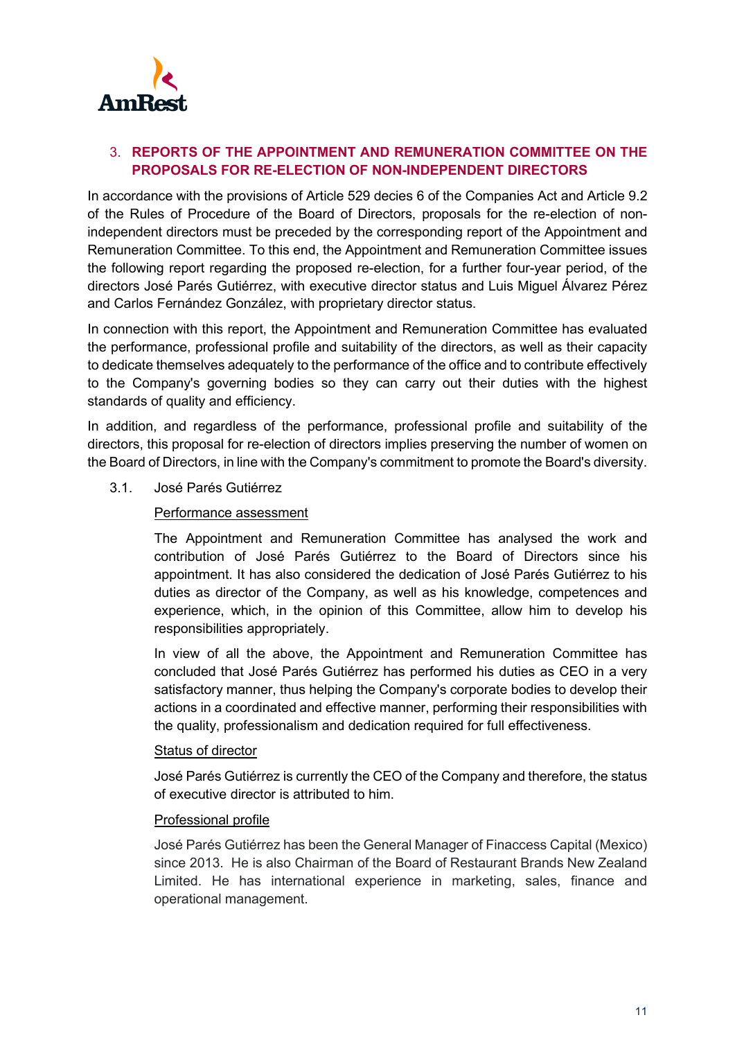

# 3. **REPORTS OF THE APPOINTMENT AND REMUNERATION COMMITTEE ON THE PROPOSALS FOR RE-ELECTION OF NON-INDEPENDENT DIRECTORS**

In accordance with the provisions of Article 529 decies 6 of the Companies Act and Article 9.2 of the Rules of Procedure of the Board of Directors, proposals for the re-election of nonindependent directors must be preceded by the corresponding report of the Appointment and Remuneration Committee. To this end, the Appointment and Remuneration Committee issues the following report regarding the proposed re-election, for a further four-year period, of the directors José Parés Gutiérrez, with executive director status and Luis Miguel Álvarez Pérez and Carlos Fernández González, with proprietary director status.

In connection with this report, the Appointment and Remuneration Committee has evaluated the performance, professional profile and suitability of the directors, as well as their capacity to dedicate themselves adequately to the performance of the office and to contribute effectively to the Company's governing bodies so they can carry out their duties with the highest standards of quality and efficiency.

In addition, and regardless of the performance, professional profile and suitability of the directors, this proposal for re-election of directors implies preserving the number of women on the Board of Directors, in line with the Company's commitment to promote the Board's diversity.

3.1. José Parés Gutiérrez

### Performance assessment

The Appointment and Remuneration Committee has analysed the work and contribution of José Parés Gutiérrez to the Board of Directors since his appointment. It has also considered the dedication of José Parés Gutiérrez to his duties as director of the Company, as well as his knowledge, competences and experience, which, in the opinion of this Committee, allow him to develop his responsibilities appropriately.

In view of all the above, the Appointment and Remuneration Committee has concluded that José Parés Gutiérrez has performed his duties as CEO in a very satisfactory manner, thus helping the Company's corporate bodies to develop their actions in a coordinated and effective manner, performing their responsibilities with the quality, professionalism and dedication required for full effectiveness.

## Status of director

José Parés Gutiérrez is currently the CEO of the Company and therefore, the status of executive director is attributed to him.

### Professional profile

José Parés Gutiérrez has been the General Manager of Finaccess Capital (Mexico) since 2013. He is also Chairman of the Board of Restaurant Brands New Zealand Limited. He has international experience in marketing, sales, finance and operational management.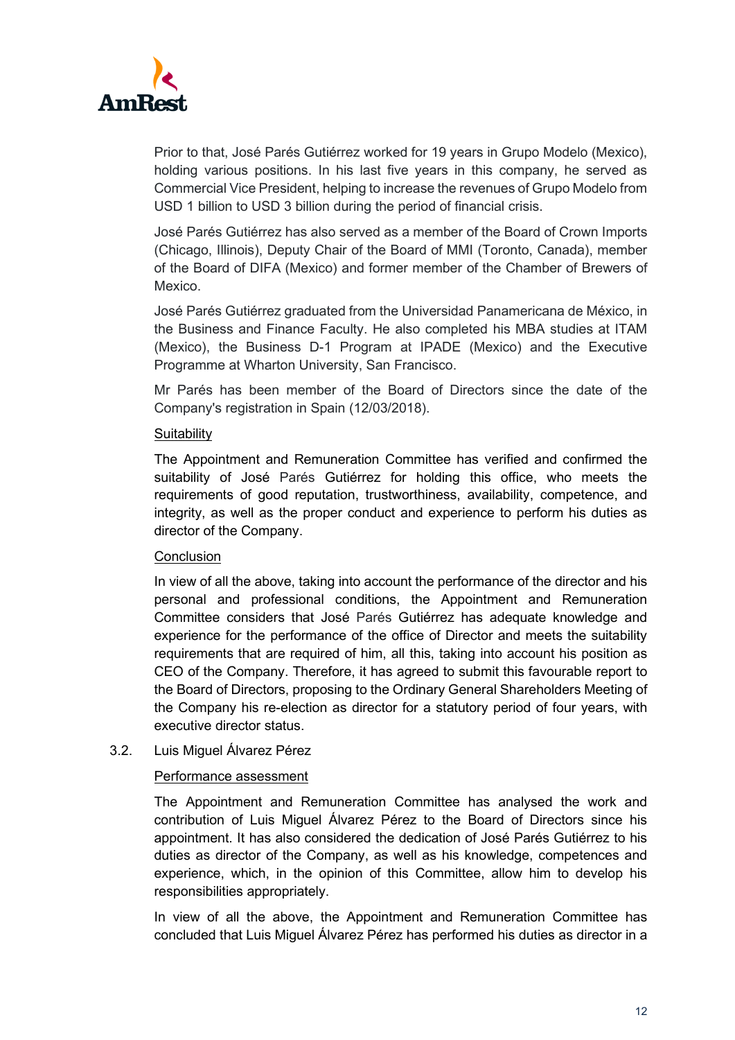

Prior to that, José Parés Gutiérrez worked for 19 years in Grupo Modelo (Mexico), holding various positions. In his last five years in this company, he served as Commercial Vice President, helping to increase the revenues of Grupo Modelo from USD 1 billion to USD 3 billion during the period of financial crisis.

José Parés Gutiérrez has also served as a member of the Board of Crown Imports (Chicago, Illinois), Deputy Chair of the Board of MMI (Toronto, Canada), member of the Board of DIFA (Mexico) and former member of the Chamber of Brewers of Mexico.

José Parés Gutiérrez graduated from the Universidad Panamericana de México, in the Business and Finance Faculty. He also completed his MBA studies at ITAM (Mexico), the Business D-1 Program at IPADE (Mexico) and the Executive Programme at Wharton University, San Francisco.

Mr Parés has been member of the Board of Directors since the date of the Company's registration in Spain (12/03/2018).

### **Suitability**

The Appointment and Remuneration Committee has verified and confirmed the suitability of José Parés Gutiérrez for holding this office, who meets the requirements of good reputation, trustworthiness, availability, competence, and integrity, as well as the proper conduct and experience to perform his duties as director of the Company.

## **Conclusion**

In view of all the above, taking into account the performance of the director and his personal and professional conditions, the Appointment and Remuneration Committee considers that José Parés Gutiérrez has adequate knowledge and experience for the performance of the office of Director and meets the suitability requirements that are required of him, all this, taking into account his position as CEO of the Company. Therefore, it has agreed to submit this favourable report to the Board of Directors, proposing to the Ordinary General Shareholders Meeting of the Company his re-election as director for a statutory period of four years, with executive director status.

3.2. Luis Miguel Álvarez Pérez

### Performance assessment

The Appointment and Remuneration Committee has analysed the work and contribution of Luis Miguel Álvarez Pérez to the Board of Directors since his appointment. It has also considered the dedication of José Parés Gutiérrez to his duties as director of the Company, as well as his knowledge, competences and experience, which, in the opinion of this Committee, allow him to develop his responsibilities appropriately.

In view of all the above, the Appointment and Remuneration Committee has concluded that Luis Miguel Álvarez Pérez has performed his duties as director in a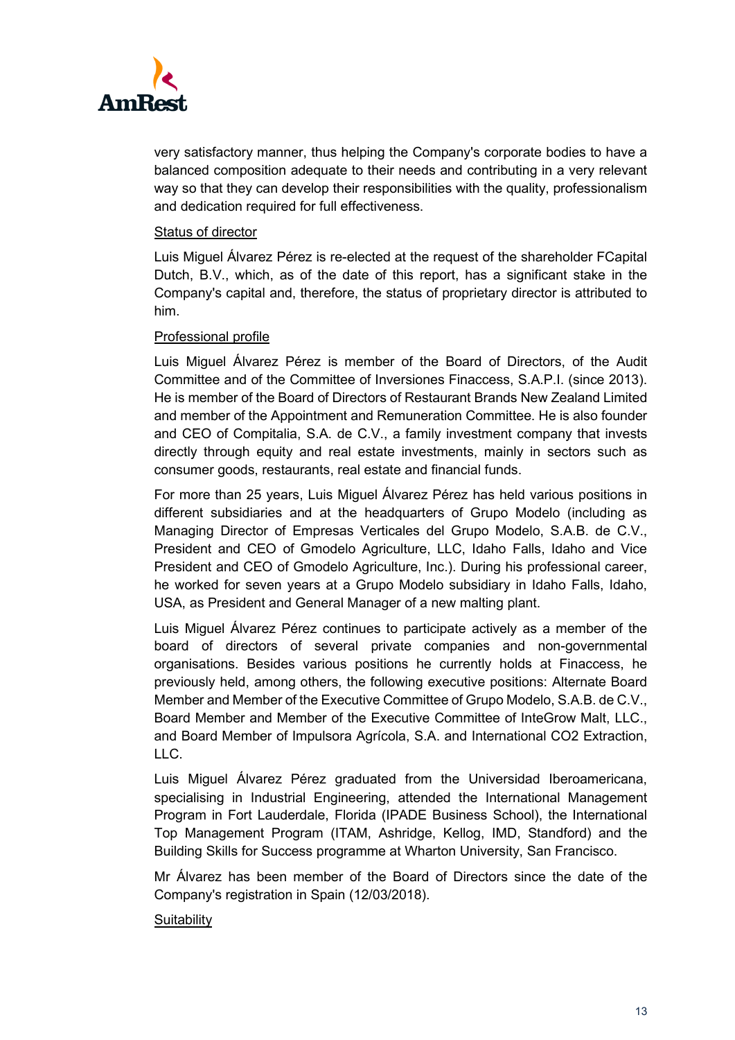

very satisfactory manner, thus helping the Company's corporate bodies to have a balanced composition adequate to their needs and contributing in a very relevant way so that they can develop their responsibilities with the quality, professionalism and dedication required for full effectiveness.

### Status of director

Luis Miguel Álvarez Pérez is re-elected at the request of the shareholder FCapital Dutch, B.V., which, as of the date of this report, has a significant stake in the Company's capital and, therefore, the status of proprietary director is attributed to him.

### Professional profile

Luis Miguel Álvarez Pérez is member of the Board of Directors, of the Audit Committee and of the Committee of Inversiones Finaccess, S.A.P.I. (since 2013). He is member of the Board of Directors of Restaurant Brands New Zealand Limited and member of the Appointment and Remuneration Committee. He is also founder and CEO of Compitalia, S.A. de C.V., a family investment company that invests directly through equity and real estate investments, mainly in sectors such as consumer goods, restaurants, real estate and financial funds.

For more than 25 years, Luis Miguel Álvarez Pérez has held various positions in different subsidiaries and at the headquarters of Grupo Modelo (including as Managing Director of Empresas Verticales del Grupo Modelo, S.A.B. de C.V., President and CEO of Gmodelo Agriculture, LLC, Idaho Falls, Idaho and Vice President and CEO of Gmodelo Agriculture, Inc.). During his professional career, he worked for seven years at a Grupo Modelo subsidiary in Idaho Falls, Idaho, USA, as President and General Manager of a new malting plant.

Luis Miguel Álvarez Pérez continues to participate actively as a member of the board of directors of several private companies and non-governmental organisations. Besides various positions he currently holds at Finaccess, he previously held, among others, the following executive positions: Alternate Board Member and Member of the Executive Committee of Grupo Modelo, S.A.B. de C.V., Board Member and Member of the Executive Committee of InteGrow Malt, LLC., and Board Member of Impulsora Agrícola, S.A. and International CO2 Extraction, LLC.

Luis Miguel Álvarez Pérez graduated from the Universidad Iberoamericana, specialising in Industrial Engineering, attended the International Management Program in Fort Lauderdale, Florida (IPADE Business School), the International Top Management Program (ITAM, Ashridge, Kellog, IMD, Standford) and the Building Skills for Success programme at Wharton University, San Francisco.

Mr Álvarez has been member of the Board of Directors since the date of the Company's registration in Spain (12/03/2018).

### **Suitability**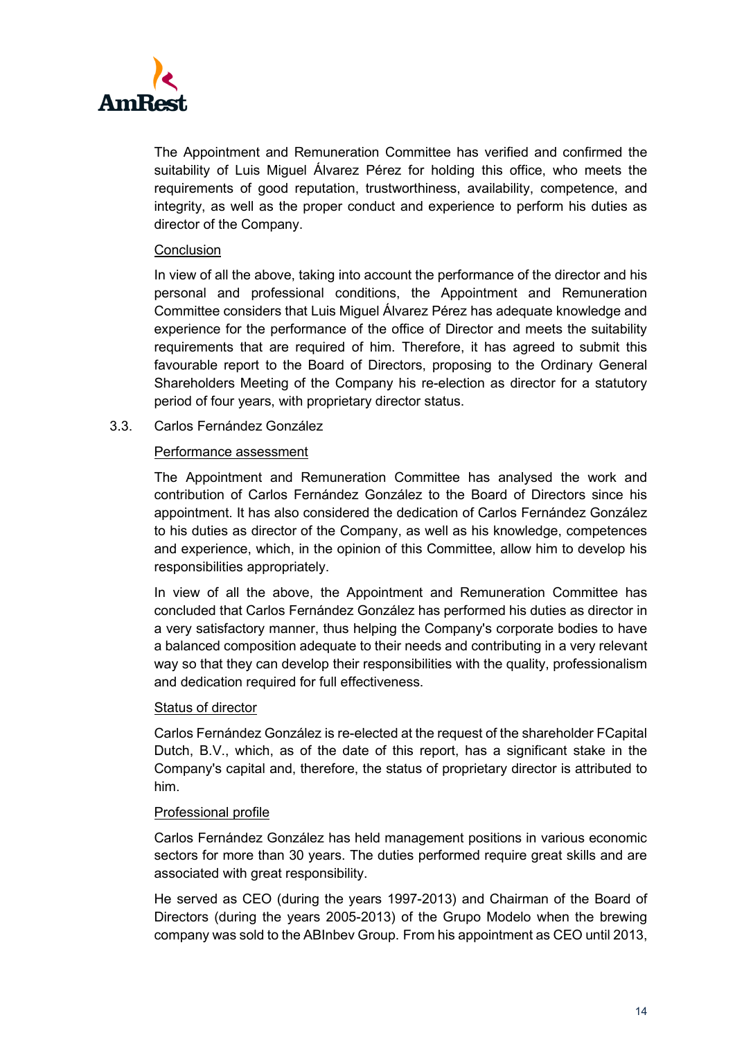

The Appointment and Remuneration Committee has verified and confirmed the suitability of Luis Miguel Álvarez Pérez for holding this office, who meets the requirements of good reputation, trustworthiness, availability, competence, and integrity, as well as the proper conduct and experience to perform his duties as director of the Company.

### **Conclusion**

In view of all the above, taking into account the performance of the director and his personal and professional conditions, the Appointment and Remuneration Committee considers that Luis Miguel Álvarez Pérez has adequate knowledge and experience for the performance of the office of Director and meets the suitability requirements that are required of him. Therefore, it has agreed to submit this favourable report to the Board of Directors, proposing to the Ordinary General Shareholders Meeting of the Company his re-election as director for a statutory period of four years, with proprietary director status.

3.3. Carlos Fernández González

## Performance assessment

The Appointment and Remuneration Committee has analysed the work and contribution of Carlos Fernández González to the Board of Directors since his appointment. It has also considered the dedication of Carlos Fernández González to his duties as director of the Company, as well as his knowledge, competences and experience, which, in the opinion of this Committee, allow him to develop his responsibilities appropriately.

In view of all the above, the Appointment and Remuneration Committee has concluded that Carlos Fernández González has performed his duties as director in a very satisfactory manner, thus helping the Company's corporate bodies to have a balanced composition adequate to their needs and contributing in a very relevant way so that they can develop their responsibilities with the quality, professionalism and dedication required for full effectiveness.

### Status of director

Carlos Fernández González is re-elected at the request of the shareholder FCapital Dutch, B.V., which, as of the date of this report, has a significant stake in the Company's capital and, therefore, the status of proprietary director is attributed to him.

### Professional profile

Carlos Fernández González has held management positions in various economic sectors for more than 30 years. The duties performed require great skills and are associated with great responsibility.

He served as CEO (during the years 1997-2013) and Chairman of the Board of Directors (during the years 2005-2013) of the Grupo Modelo when the brewing company was sold to the ABInbev Group. From his appointment as CEO until 2013,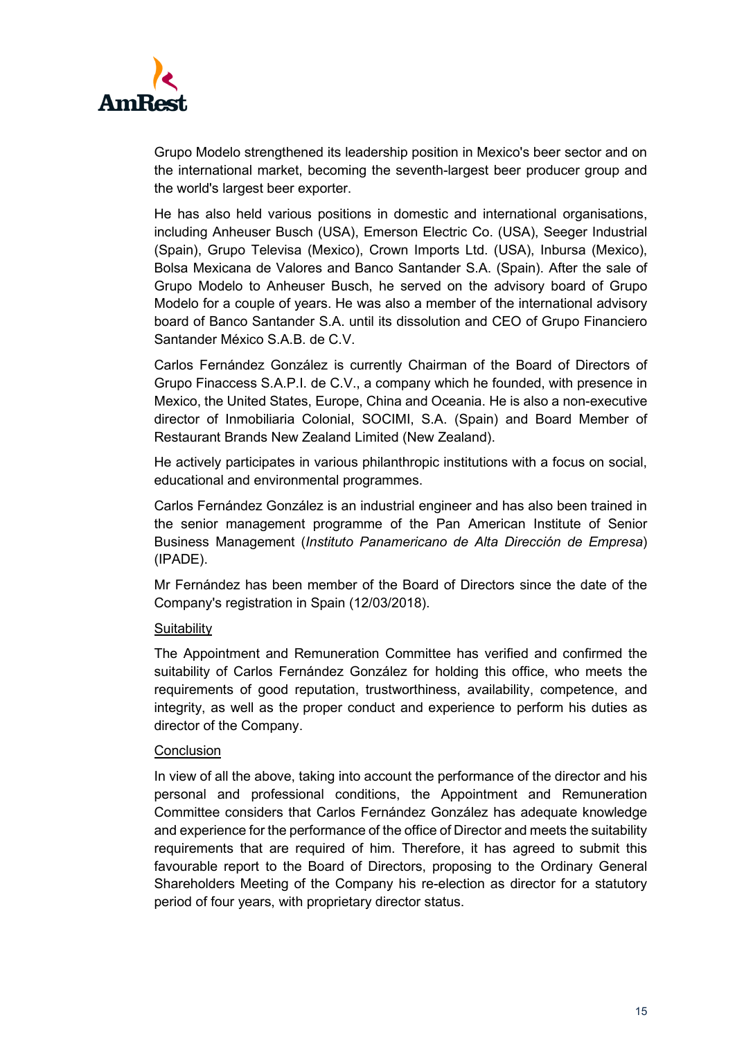

Grupo Modelo strengthened its leadership position in Mexico's beer sector and on the international market, becoming the seventh-largest beer producer group and the world's largest beer exporter.

He has also held various positions in domestic and international organisations, including Anheuser Busch (USA), Emerson Electric Co. (USA), Seeger Industrial (Spain), Grupo Televisa (Mexico), Crown Imports Ltd. (USA), Inbursa (Mexico), Bolsa Mexicana de Valores and Banco Santander S.A. (Spain). After the sale of Grupo Modelo to Anheuser Busch, he served on the advisory board of Grupo Modelo for a couple of years. He was also a member of the international advisory board of Banco Santander S.A. until its dissolution and CEO of Grupo Financiero Santander México S.A.B. de C.V.

Carlos Fernández González is currently Chairman of the Board of Directors of Grupo Finaccess S.A.P.I. de C.V., a company which he founded, with presence in Mexico, the United States, Europe, China and Oceania. He is also a non-executive director of Inmobiliaria Colonial, SOCIMI, S.A. (Spain) and Board Member of Restaurant Brands New Zealand Limited (New Zealand).

He actively participates in various philanthropic institutions with a focus on social, educational and environmental programmes.

Carlos Fernández González is an industrial engineer and has also been trained in the senior management programme of the Pan American Institute of Senior Business Management (*Instituto Panamericano de Alta Dirección de Empresa*) (IPADE).

Mr Fernández has been member of the Board of Directors since the date of the Company's registration in Spain (12/03/2018).

## **Suitability**

The Appointment and Remuneration Committee has verified and confirmed the suitability of Carlos Fernández González for holding this office, who meets the requirements of good reputation, trustworthiness, availability, competence, and integrity, as well as the proper conduct and experience to perform his duties as director of the Company.

### **Conclusion**

In view of all the above, taking into account the performance of the director and his personal and professional conditions, the Appointment and Remuneration Committee considers that Carlos Fernández González has adequate knowledge and experience for the performance of the office of Director and meets the suitability requirements that are required of him. Therefore, it has agreed to submit this favourable report to the Board of Directors, proposing to the Ordinary General Shareholders Meeting of the Company his re-election as director for a statutory period of four years, with proprietary director status.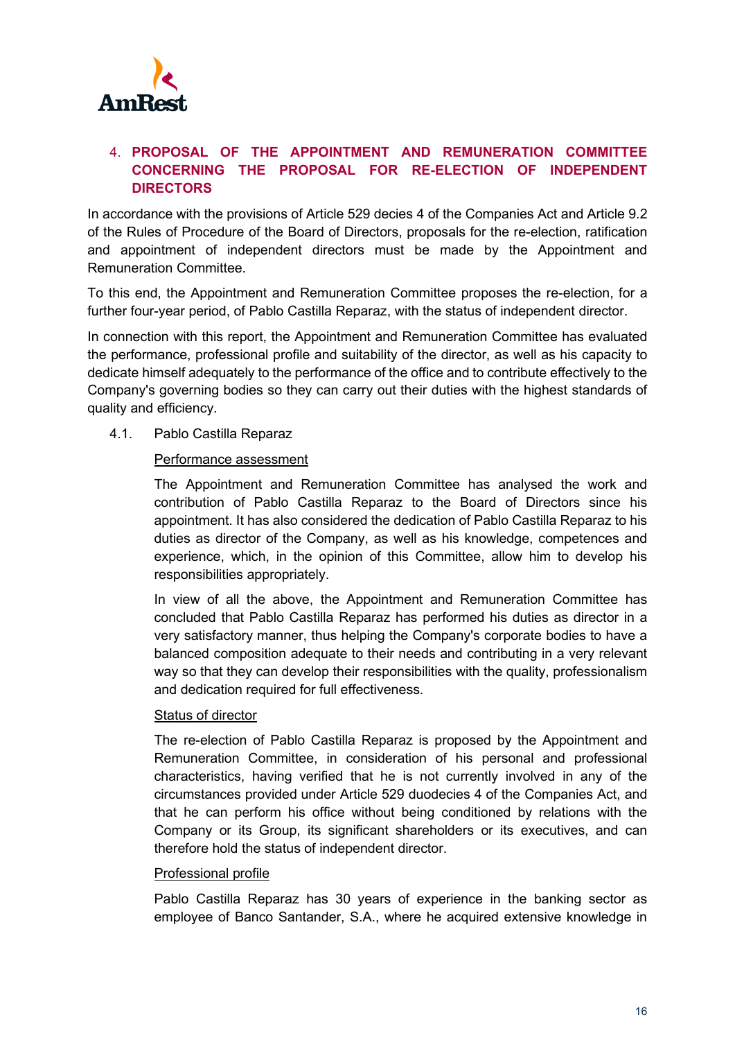

# 4. **PROPOSAL OF THE APPOINTMENT AND REMUNERATION COMMITTEE CONCERNING THE PROPOSAL FOR RE-ELECTION OF INDEPENDENT DIRECTORS**

In accordance with the provisions of Article 529 decies 4 of the Companies Act and Article 9.2 of the Rules of Procedure of the Board of Directors, proposals for the re-election, ratification and appointment of independent directors must be made by the Appointment and Remuneration Committee.

To this end, the Appointment and Remuneration Committee proposes the re-election, for a further four-year period, of Pablo Castilla Reparaz, with the status of independent director.

In connection with this report, the Appointment and Remuneration Committee has evaluated the performance, professional profile and suitability of the director, as well as his capacity to dedicate himself adequately to the performance of the office and to contribute effectively to the Company's governing bodies so they can carry out their duties with the highest standards of quality and efficiency.

4.1. Pablo Castilla Reparaz

## Performance assessment

The Appointment and Remuneration Committee has analysed the work and contribution of Pablo Castilla Reparaz to the Board of Directors since his appointment. It has also considered the dedication of Pablo Castilla Reparaz to his duties as director of the Company, as well as his knowledge, competences and experience, which, in the opinion of this Committee, allow him to develop his responsibilities appropriately.

In view of all the above, the Appointment and Remuneration Committee has concluded that Pablo Castilla Reparaz has performed his duties as director in a very satisfactory manner, thus helping the Company's corporate bodies to have a balanced composition adequate to their needs and contributing in a very relevant way so that they can develop their responsibilities with the quality, professionalism and dedication required for full effectiveness.

### Status of director

The re-election of Pablo Castilla Reparaz is proposed by the Appointment and Remuneration Committee, in consideration of his personal and professional characteristics, having verified that he is not currently involved in any of the circumstances provided under Article 529 duodecies 4 of the Companies Act, and that he can perform his office without being conditioned by relations with the Company or its Group, its significant shareholders or its executives, and can therefore hold the status of independent director.

### Professional profile

Pablo Castilla Reparaz has 30 years of experience in the banking sector as employee of Banco Santander, S.A., where he acquired extensive knowledge in